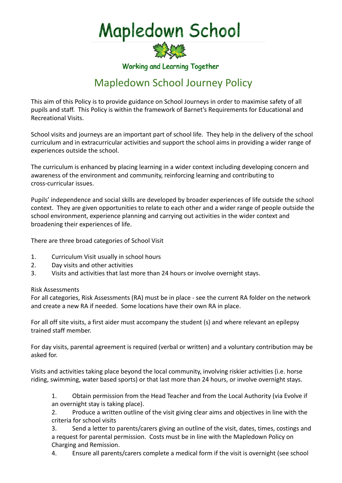Mapledown School



Working and Learning Together

## Mapledown School Journey Policy

This aim of this Policy is to provide guidance on School Journeys in order to maximise safety of all pupils and staff. This Policy is within the framework of Barnet's Requirements for Educational and Recreational Visits.

School visits and journeys are an important part of school life. They help in the delivery of the school curriculum and in extracurricular activities and support the school aims in providing a wider range of experiences outside the school.

The curriculum is enhanced by placing learning in a wider context including developing concern and awareness of the environment and community, reinforcing learning and contributing to cross-curricular issues.

Pupils' independence and social skills are developed by broader experiences of life outside the school context. They are given opportunities to relate to each other and a wider range of people outside the school environment, experience planning and carrying out activities in the wider context and broadening their experiences of life.

There are three broad categories of School Visit

- 1. Curriculum Visit usually in school hours
- 2. Day visits and other activities
- 3. Visits and activities that last more than 24 hours or involve overnight stays.

## Risk Assessments

For all categories, Risk Assessments (RA) must be in place - see the current RA folder on the network and create a new RA if needed. Some locations have their own RA in place.

For all off site visits, a first aider must accompany the student (s) and where relevant an epilepsy trained staff member.

For day visits, parental agreement is required (verbal or written) and a voluntary contribution may be asked for.

Visits and activities taking place beyond the local community, involving riskier activities (i.e. horse riding, swimming, water based sports) or that last more than 24 hours, or involve overnight stays.

1. Obtain permission from the Head Teacher and from the Local Authority (via Evolve if an overnight stay is taking place).

2. Produce a written outline of the visit giving clear aims and objectives in line with the criteria for school visits

3. Send a letter to parents/carers giving an outline of the visit, dates, times, costings and a request for parental permission. Costs must be in line with the Mapledown Policy on Charging and Remission.

4. Ensure all parents/carers complete a medical form if the visit is overnight (see school